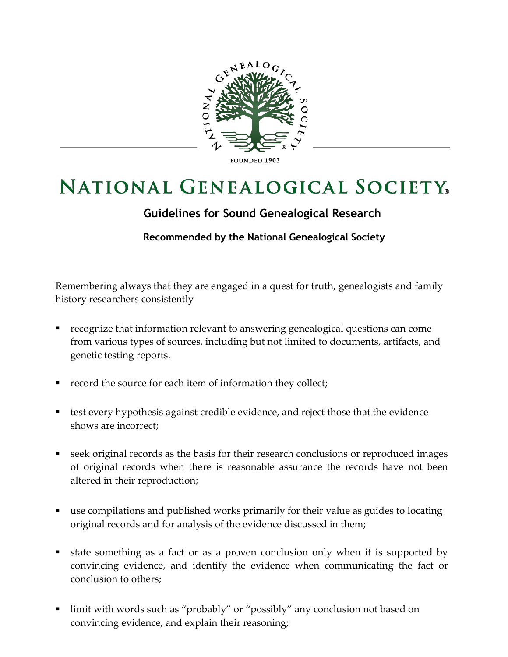

## **FOUNDED 1903**

## **NATIONAL GENEALOGICAL SOCIETY**

## **Guidelines for Sound Genealogical Research**

**Recommended by the National Genealogical Society**

Remembering always that they are engaged in a quest for truth, genealogists and family history researchers consistently

- recognize that information relevant to answering genealogical questions can come from various types of sources, including but not limited to documents, artifacts, and genetic testing reports.
- record the source for each item of information they collect;
- **EX** test every hypothesis against credible evidence, and reject those that the evidence shows are incorrect;
- seek original records as the basis for their research conclusions or reproduced images of original records when there is reasonable assurance the records have not been altered in their reproduction;
- use compilations and published works primarily for their value as guides to locating original records and for analysis of the evidence discussed in them;
- state something as a fact or as a proven conclusion only when it is supported by convincing evidence, and identify the evidence when communicating the fact or conclusion to others;
- limit with words such as "probably" or "possibly" any conclusion not based on convincing evidence, and explain their reasoning;